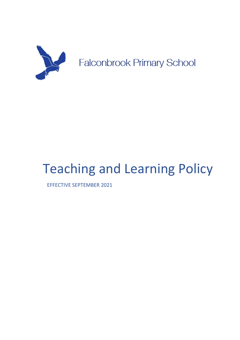

# Teaching and Learning Policy

EFFECTIVE SEPTEMBER 2021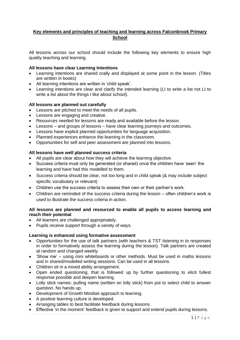# **Key elements and principles of teaching and learning across Falconbrook Primary School**

All lessons across our school should include the following key elements to ensure high quality teaching and learning.

#### **All lessons have clear Learning Intentions**

- Learning intentions are shared orally and displayed at some point in the lesson. (Titles are written in books)
- All learning intentions are written in 'child speak'.
- Learning intentions are clear and clarify the intended learning (LI to write a list not LI to write a list about the things I like about school).

## **All lessons are planned out carefully**

- Lessons are pitched to meet the needs of all pupils.
- Lessons are engaging and creative.
- Resources needed for lessons are ready and available before the lesson.
- Lessons and groups of lessons have clear learning journeys and outcomes.
- Lessons have explicit planned opportunities for language acquisition.
- Planned experiences enhance the learning in the classroom.
- Opportunities for self and peer assessment are planned into lessons.

#### **All lessons have well planned success criteria**

- All pupils are clear about how they will achieve the learning objective.
- Success criteria must only be generated (or shared) once the children have 'seen' the learning and have had this modelled to them.
- Success criteria should be clear, not too long and in child speak (& may include subject specific vocabulary or relevant)
- Children use the success criteria to assess their own or their partner's work.
- Children are reminded of the success criteria during the lesson often children's work is used to illustrate the success criteria in action.

## **All lessons are planned and resourced to enable all pupils to access learning and reach their potential**

- All learners are challenged appropriately.
- Pupils receive support through a variety of ways.

#### **Learning is enhanced using formative assessment**

- Opportunities for the use of talk partners (with teachers & TST listening in to responses in order to formatively assess the learning during the lesson). Talk partners are created at random and changed weekly
- 'Show me' using mini whiteboards or other methods. Must be used in maths lessons and in shared/modelled writing sessions. Can be used in all lessons.
- Children sit in a mixed ability arrangement.
- Open ended questioning, that is followed up by further questioning to elicit fullest response possible and deepen learning.
- Lolly stick names: pulling name (written on lolly stick) from pot to select child to answer question. No hands up.
- Development of Growth Mindset approach to learning.
- A positive learning culture is developed.
- Arranging tables to best facilitate feedback during lessons.
- Effective 'in the moment' feedback is given to support and extend pupils during lessons.